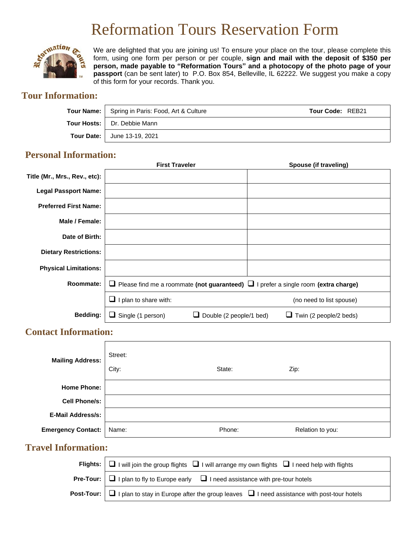# Reformation Tours Reservation Form



We are delighted that you are joining us! To ensure your place on the tour, please complete this form, using one form per person or per couple, **sign and mail with the deposit of \$350 per person, made payable to "Reformation Tours" and a photocopy of the photo page of your passport** (can be sent later) to P.O. Box 854, Belleville, IL 62222. We suggest you make a copy of this form for your records. Thank you.

## **Tour Information:**

| Tour Name:   Spring in Paris: Food, Art & Culture | Tour Code: REB21 |
|---------------------------------------------------|------------------|
| <b>Tour Hosts:</b>   Dr. Debbie Mann              |                  |
| <b>Tour Date:   June 13-19, 2021</b>              |                  |

#### **Personal Information:**

|                               | <b>First Traveler</b>                                                                        | Spouse (if traveling)         |
|-------------------------------|----------------------------------------------------------------------------------------------|-------------------------------|
| Title (Mr., Mrs., Rev., etc): |                                                                                              |                               |
| <b>Legal Passport Name:</b>   |                                                                                              |                               |
| <b>Preferred First Name:</b>  |                                                                                              |                               |
| Male / Female:                |                                                                                              |                               |
| Date of Birth:                |                                                                                              |                               |
| <b>Dietary Restrictions:</b>  |                                                                                              |                               |
| <b>Physical Limitations:</b>  |                                                                                              |                               |
| Roommate:                     | Please find me a roommate (not guaranteed) $\Box$ I prefer a single room (extra charge)<br>ப |                               |
|                               | I plan to share with:                                                                        | (no need to list spouse)      |
| <b>Bedding:</b>               | Single (1 person)<br>$\Box$ Double (2 people/1 bed)<br>ப                                     | $\Box$ Twin (2 people/2 beds) |

### **Contact Information:**

| <b>Mailing Address:</b>   | Street:<br>City: | State: | Zip:             |
|---------------------------|------------------|--------|------------------|
| <b>Home Phone:</b>        |                  |        |                  |
| <b>Cell Phone/s:</b>      |                  |        |                  |
| <b>E-Mail Address/s:</b>  |                  |        |                  |
| <b>Emergency Contact:</b> | Name:            | Phone: | Relation to you: |

### **Travel Information:**

| Flights: $\Box$ I will join the group flights $\Box$ I will arrange my own flights $\Box$ I need help with flights      |  |
|-------------------------------------------------------------------------------------------------------------------------|--|
| <b>Pre-Tour:</b> $\Box$ I plan to fly to Europe early $\Box$ I need assistance with pre-tour hotels                     |  |
| <b>Post-Tour:</b> $\Box$ I plan to stay in Europe after the group leaves $\Box$ I need assistance with post-tour hotels |  |